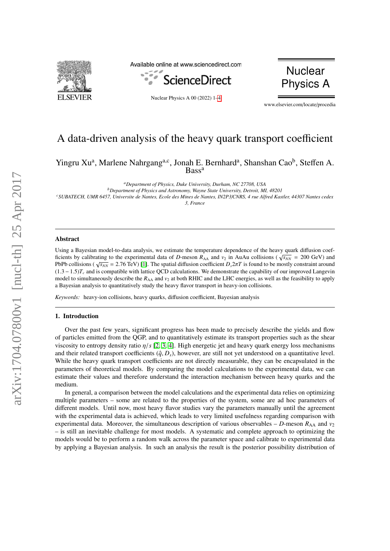

Available online at www.sciencedirect.com



Nuclear Physics A 00 (2022) 1[–4](#page-3-0)



www.elsevier.com/locate/procedia

# A data-driven analysis of the heavy quark transport coefficient

Yingru Xu<sup>a</sup>, Marlene Nahrgang<sup>a,c</sup>, Jonah E. Bernhard<sup>a</sup>, Shanshan Cao<sup>b</sup>, Steffen A. **Bass**<sup>a</sup>

*<sup>a</sup>Department of Physics, Duke University, Durham, NC 27708, USA <sup>b</sup>Department of Physics and Astronomy, Wayne State University, Detroit, MI, 48201 <sup>c</sup>SUBATECH, UMR 6457, Universite de Nantes, Ecole des Mines de Nantes, IN2P3*/*CNRS, 4 rue Alfred Kastler, 44307 Nantes cedex 3, France*

# Abstract

Using a Bayesian model-to-data analysis, we estimate the temperature dependence of the heavy quark diffusion coefficients by calibrating to the experimental data of *D*-meson  $R_{AA}$  and  $v_2$  in AuAu collisions ( $\sqrt{s_{NN}}$  = 200 GeV) and *f*cients by calibrating to the experimental data of *D*-meson  $R_{AA}$  and  $v_2$  in AuAu collisions PbPb collisions ( $\sqrt{s_{NN}}$  = 2.76 TeV) [\[1\]](#page-3-1). The spatial diffusion coefficient  $D_s 2\pi T$  is found to be mostly constraint around  $(1.3-1.5)T$  and is compatible with lattice OCD calculations. We demonstrate the canability of  $(1.3 - 1.5)T_c$  and is compatible with lattice QCD calculations. We demonstrate the capability of our improved Langevin model to simultaneously describe the  $R_{AA}$  and  $v_2$  at both RHIC and the LHC energies, as well as the feasibility to apply a Bayesian analysis to quantitatively study the heavy flavor transport in heavy-ion collisions.

*Keywords:* heavy-ion collisions, heavy quarks, diffusion coefficient, Bayesian analysis

# 1. Introduction

Over the past few years, significant progress has been made to precisely describe the yields and flow of particles emitted from the QGP, and to quantitatively estimate its transport properties such as the shear viscosity to entropy density ratio η/*<sup>s</sup>* [\[2,](#page-3-2) [3,](#page-3-3) [4\]](#page-3-4). High energetic jet and heavy quark energy loss mechanisms and their related transport coefficients  $(\hat{q}, D_s)$ , however, are still not yet understood on a quantitative level. While the heavy quark transport coefficients are not directly measurable, they can be encapsulated in the parameters of theoretical models. By comparing the model calculations to the experimental data, we can estimate their values and therefore understand the interaction mechanism between heavy quarks and the medium.

In general, a comparison between the model calculations and the experimental data relies on optimizing multiple parameters – some are related to the properties of the system, some are ad hoc parameters of different models. Until now, most heavy flavor studies vary the parameters manually until the agreement with the experimental data is achieved, which leads to very limited usefulness regarding comparison with experimental data. Moreover, the simultaneous description of various observables – *D*-meson  $R_{AA}$  and  $v_2$ – is still an inevitable challenge for most models. A systematic and complete approach to optimizing the models would be to perform a random walk across the parameter space and calibrate to experimental data by applying a Bayesian analysis. In such an analysis the result is the posterior possibility distribution of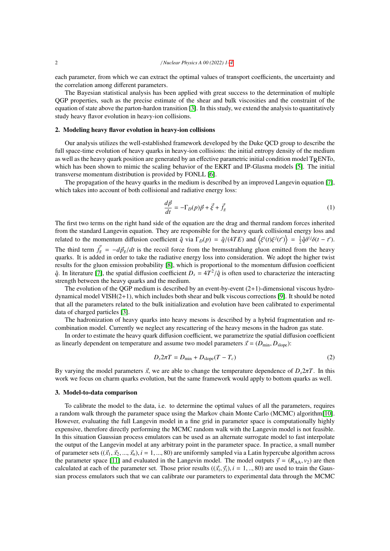each parameter, from which we can extract the optimal values of transport coefficients, the uncertainty and the correlation among different parameters.

The Bayesian statistical analysis has been applied with great success to the determination of multiple QGP properties, such as the precise estimate of the shear and bulk viscosities and the constraint of the equation of state above the parton-hardon transition [\[3\]](#page-3-3). In this study, we extend the analysis to quantitatively study heavy flavor evolution in heavy-ion collisions.

### 2. Modeling heavy flavor evolution in heavy-ion collisions

Our analysis utilizes the well-established framework developed by the Duke QCD group to describe the full space-time evolution of heavy quarks in heavy-ion collisions: the initial entropy density of the medium as well as the heavy quark position are generated by an effective parametric initial condition model  $T_RENTo$ , which has been shown to mimic the scaling behavior of the EKRT and IP-Glasma models [\[5\]](#page-3-5). The initial transverse momentum distribution is provided by FONLL [\[6\]](#page-3-6).

The propagation of the heavy quarks in the medium is described by an improved Langevin equation [\[7\]](#page-3-7), which takes into account of both collisional and radiative energy loss:

$$
\frac{d\vec{p}}{dt} = -\Gamma_D(p)\vec{p} + \vec{\xi} + \vec{f}_g
$$
\n(1)

The first two terms on the right hand side of the equation are the drag and thermal random forces inherited from the standard Langevin equation. They are responsible for the heavy quark collisional energy loss and related to the momentum diffusion coefficient  $\hat{q}$  via  $\Gamma_D(p) = \hat{q}/(4TE)$  and  $\langle \xi^i(t)\xi^j(t') \rangle = \frac{1}{2}\hat{q}\delta^{ij}\delta(t-t').$ The third term  $\vec{f_g} = -d\vec{p_g}/dt$  is the recoil force from the bremsstrahlung gluon emitted from the heavy<br>
guarks. It is added in order to take the radiative energy loss into consideration. We adopt the higher twist quarks. It is added in order to take the radiative energy loss into consideration. We adopt the higher twist results for the gluon emission probability [\[8\]](#page-3-8), which is proportional to the momentum diffusion coefficient  $\hat{q}$ . In literature [\[7\]](#page-3-7), the spatial diffusion coefficient  $D_s = 4T^2/\hat{q}$  is often used to characterize the interacting strength between the heavy quarks and the medium strength between the heavy quarks and the medium.

The evolution of the QGP medium is described by an event-by-event (2+1)-dimensional viscous hydrodynamical model VISH(2+1), which includes both shear and bulk viscous corrections [\[9\]](#page-3-9). It should be noted that all the parameters related to the bulk initialization and evolution have been calibrated to experimental data of charged particles [\[3\]](#page-3-3).

The hadronization of heavy quarks into heavy mesons is described by a hybrid fragmentation and recombination model. Currently we neglect any rescattering of the heavy mesons in the hadron gas state.

In order to estimate the heavy quark diffusion coefficient, we parametrize the spatial diffusion coefficient as linearly dependent on temperature and assume two model parameters  $\vec{x} = (D_{\text{min}}, D_{\text{slope}})$ :

$$
D_s 2\pi T = D_{\min} + D_{\text{slope}} (T - T_c) \tag{2}
$$

By varying the model parameters  $\vec{x}$ , we are able to change the temperature dependence of  $D \cdot 2\pi T$ . In this work we focus on charm quarks evolution, but the same framework would apply to bottom quarks as well.

#### 3. Model-to-data comparison

To calibrate the model to the data, i.e. to determine the optimal values of all the parameters, requires a random walk through the parameter space using the Markov chain Monte Carlo (MCMC) algorithm[\[10\]](#page-3-10). However, evaluating the full Langevin model in a fine grid in parameter space is computationally highly expensive, therefore directly performing the MCMC random walk with the Langevin model is not feasible. In this situation Gaussian process emulators can be used as an alternate surrogate model to fast interpolate the output of the Langevin model at any arbitrary point in the parameter space. In practice, a small number of parameter sets  $((\vec{x}_1, \vec{x}_2, ..., \vec{x}_n), i = 1, ..., 80)$  are uniformly sampled via a Latin hypercube algorithm across the parameter space [\[11\]](#page-3-11) and evaluated in the Langevin model. The model outputs  $\vec{y} = (R_{AA}, v_2)$  are then calculated at each of the parameter set. Those prior results  $((\vec{x}_i, \vec{y}_i), i = 1, ..., 80)$  are used to train the Gaus-<br>sian process emulators such that we can calibrate our parameters to experimental data through the MCMC sian process emulators such that we can calibrate our parameters to experimental data through the MCMC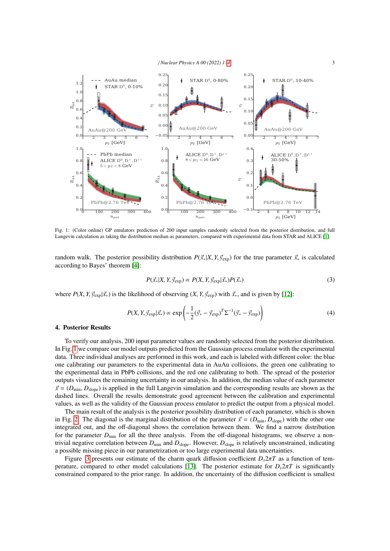

<span id="page-2-0"></span>

Fig. 1: (Color online) GP emulators prediction of 200 input samples randomly selected from the posterior distribution, and full Langevin calculation as taking the distribution median as parameters, compared with experimental data from STAR and ALICE [\[1\]](#page-3-1).

random walk. The posterior possibility distribution  $P(\vec{x} * | X, Y, \vec{y}_{exp})$  for the true parameter  $\vec{x}_*$  is calculated according to Bayes' theorem [\[4\]](#page-3-4):

$$
P(\vec{x}_*|X, Y, \vec{y}_{exp}) \propto P(X, Y, \vec{y}_{exp}|\vec{x}_*) P(\vec{x}_*)
$$
\n(3)

where  $P(X, Y, \vec{y}_{exp} | \vec{x}_*)$  is the likelihood of observing  $(X, Y, \vec{y}_{exp})$  with  $\vec{x}_*$ , and is given by [\[12\]](#page-3-12):

$$
P(X, Y, \vec{y}_{exp} | \vec{x}_*) \propto \exp\left(-\frac{1}{2}(\vec{y}_* - \vec{y}_{exp})^T \Sigma^{-1} (\vec{y}_* - \vec{y}_{exp})\right)
$$
(4)

## 4. Posterior Results

To verify our analysis, 200 input parameter values are randomly selected from the posterior distribution. In Fig. [1](#page-2-0) we compare our model outputs predicted from the Gaussian process emulator with the experimental data. Three individual analyses are performed in this work, and each is labeled with different color: the blue one calibrating our parameters to the experimental data in AuAu collisions, the green one calibrating to the experimental data in PbPb collisions, and the red one calibrating to both. The spread of the posterior outputs visualizes the remaining uncertainty in our analysis. In addition, the median value of each parameter  $\vec{x} = (D_{\text{min}}, D_{\text{slope}})$  is applied in the full Langevin simulation and the corresponding results are shown as the dashed lines. Overall the results demonstrate good agreement between the calibration and experimental values, as well as the validity of the Gaussian process emulator to predict the output from a physical model.

The main result of the analysis is the posterior possibility distribution of each parameter, which is shown in Fig. [2.](#page-3-13) The diagonal is the marginal distribution of the parameter  $\vec{x} = (D_{\text{min}}, D_{\text{slope}})$  with the other one integrated out, and the off-diagonal shows the correlation between them. We find a narrow distribution for the parameter  $D_{\text{min}}$  for all the three analysis. From the off-diagonal histograms, we observe a nontrivial negative correlation between  $D_{\text{min}}$  and  $D_{\text{slope}}$ . However,  $D_{\text{slope}}$  is relatively unconstrained, indicating a possible missing piece in our parametrization or too large experimental data uncertainties.

Figure [3](#page-3-13) presents our estimate of the charm quark diffusion coefficient  $D_s 2\pi T$  as a function of tem-perature, compared to other model calculations [\[13\]](#page-3-14). The posterior estimate for  $D_s 2\pi T$  is significantly constrained compared to the prior range. In addition, the uncertainty of the diffusion coefficient is smallest